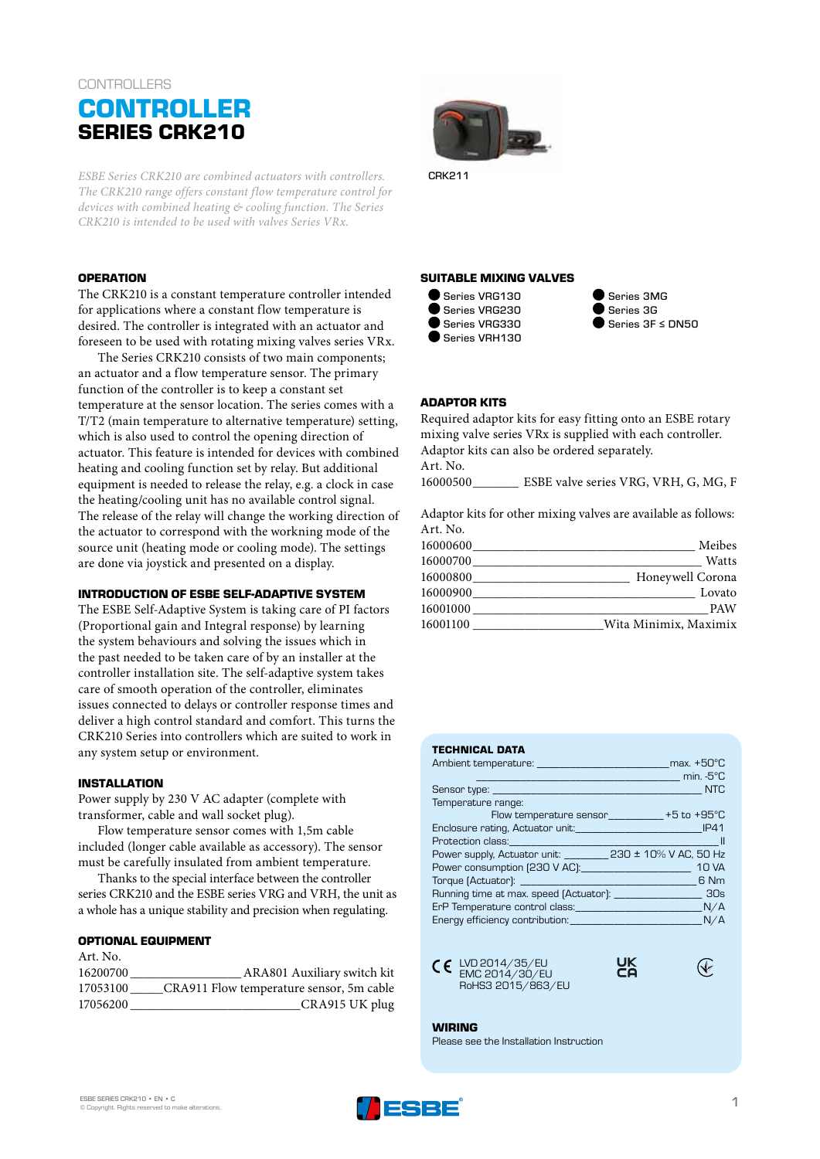# **CONTROLLERS CONTROLLER SERIES CRK210**

*ESBE Series CRK210 are combined actuators with controllers. The CRK210 range offers constant flow temperature control for devices with combined heating & cooling function. The Series CRK210 is intended to be used with valves Series VRx.*

## **OPERATION**

The CRK210 is a constant temperature controller intended for applications where a constant flow temperature is desired. The controller is integrated with an actuator and foreseen to be used with rotating mixing valves series VRx.

The Series CRK210 consists of two main components; an actuator and a flow temperature sensor. The primary function of the controller is to keep a constant set temperature at the sensor location. The series comes with a T/T2 (main temperature to alternative temperature) setting, which is also used to control the opening direction of actuator. This feature is intended for devices with combined heating and cooling function set by relay. But additional equipment is needed to release the relay, e.g. a clock in case the heating/cooling unit has no available control signal. The release of the relay will change the working direction of the actuator to correspond with the workning mode of the source unit (heating mode or cooling mode). The settings are done via joystick and presented on a display.

#### **INTRODUCTION OF ESBE SELF-ADAPTIVE SYSTEM**

The ESBE Self-Adaptive System is taking care of PI factors (Proportional gain and Integral response) by learning the system behaviours and solving the issues which in the past needed to be taken care of by an installer at the controller installation site. The self-adaptive system takes care of smooth operation of the controller, eliminates issues connected to delays or controller response times and deliver a high control standard and comfort. This turns the CRK210 Series into controllers which are suited to work in any system setup or environment.

#### **INSTALLATION**

Power supply by 230 V AC adapter (complete with transformer, cable and wall socket plug).

Flow temperature sensor comes with 1,5m cable included (longer cable available as accessory). The sensor must be carefully insulated from ambient temperature.

Thanks to the special interface between the controller series CRK210 and the ESBE series VRG and VRH, the unit as a whole has a unique stability and precision when regulating.

#### **OPTIONAL EQUIPMENT**

| Art. No. |                                          |
|----------|------------------------------------------|
| 16200700 | ARA801 Auxiliary switch kit              |
| 17053100 | CRA911 Flow temperature sensor, 5m cable |
| 17056200 | CRA915 UK plug                           |



#### CRK211

#### **SUITABLE MIXING VALVES**



Series 3MG Series 3G Series 3F ≤ DN50

#### **ADAPTOR KITS**

Required adaptor kits for easy fitting onto an ESBE rotary mixing valve series VRx is supplied with each controller. Adaptor kits can also be ordered separately. Art. No. 16000500\_\_\_\_\_\_\_ ESBE valve series VRG, VRH, G, MG, F

Adaptor kits for other mixing valves are available as follows: Art. No.

| 16000600 | Meibes                |
|----------|-----------------------|
| 16000700 | Watts                 |
| 16000800 | Honeywell Corona      |
| 16000900 | Lovato                |
| 16001000 | <b>PAW</b>            |
| 16001100 | Wita Minimix, Maximix |

#### **TECHNICAL DATA**

| $\sim$ 100 $\sim$ 100 $\sim$ 100 $\sim$ 100 $\sim$ 5°C                                                         |  |
|----------------------------------------------------------------------------------------------------------------|--|
|                                                                                                                |  |
| Temperature range:                                                                                             |  |
| Flow temperature sensor___________+5 to +95°C                                                                  |  |
|                                                                                                                |  |
| Protection class: New York and the Contract of the Contract of the Contract of the Contract of the Contract of |  |
| Power supply, Actuator unit: ________ 230 ± 10% V AC, 50 Hz                                                    |  |
|                                                                                                                |  |
|                                                                                                                |  |
|                                                                                                                |  |
| ErP Temperature control class: N/A                                                                             |  |
|                                                                                                                |  |





UK<br>Co

**WIRING** Please see the Installation Instruction